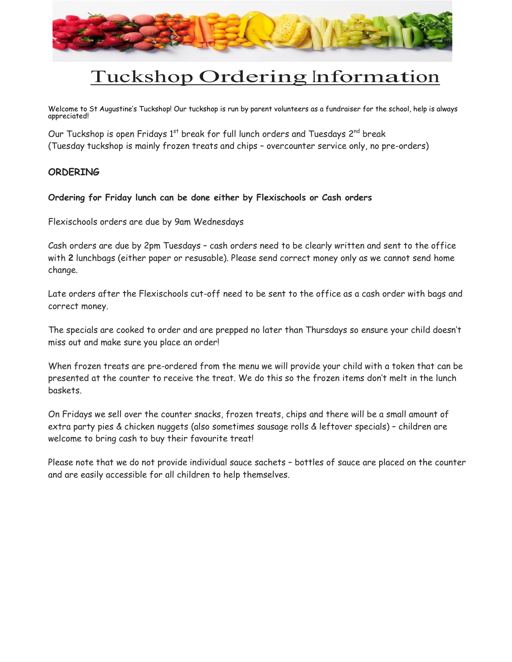

# Tuckshop Ordering Information

Welcome to St Augustine's Tuckshop! Our tuckshop is run by parent volunteers as a fundraiser for the school, help is always appreciated!

Our Tuckshop is open Fridays  $1<sup>st</sup>$  break for full lunch orders and Tuesdays  $2<sup>nd</sup>$  break (Tuesday tuckshop is mainly frozen treats and chips – overcounter service only, no pre-orders)

### **ORDERING**

#### Ordering for Friday lunch can be done either by Flexischools or Cash orders

Flexischools orders are due by 9am Wednesdays

Cash orders are due by 2pm Tuesdays – cash orders need to be clearly written and sent to the office with 2 lunchbags (either paper or resusable). Please send correct money only as we cannot send home change.

Late orders after the Flexischools cut-off need to be sent to the office as a cash order with bags and correct money.

The specials are cooked to order and are prepped no later than Thursdays so ensure your child doesn't miss out and make sure you place an order!

When frozen treats are pre-ordered from the menu we will provide your child with a token that can be presented at the counter to receive the treat. We do this so the frozen items don't melt in the lunch baskets.

On Fridays we sell over the counter snacks, frozen treats, chips and there will be a small amount of extra party pies & chicken nuggets (also sometimes sausage rolls & leftover specials) – children are welcome to bring cash to buy their favourite treat!

Please note that we do not provide individual sauce sachets – bottles of sauce are placed on the counter and are easily accessible for all children to help themselves.